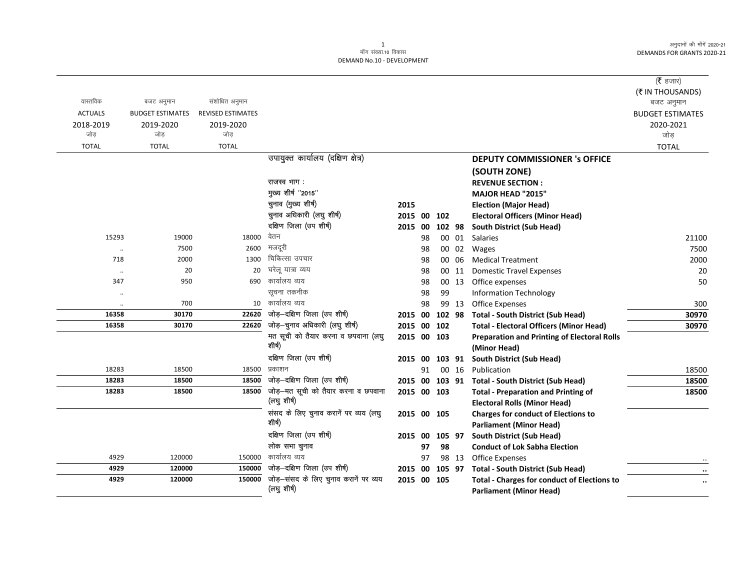|                      |                         |                   |                                                    |             |    |        |       |                                                                                      | ( $\bar{\tau}$ हजार)<br>(₹ IN THOUSANDS) |
|----------------------|-------------------------|-------------------|----------------------------------------------------|-------------|----|--------|-------|--------------------------------------------------------------------------------------|------------------------------------------|
| वास्तविक             | बजट अनुमान              | संशोधित अनुमान    |                                                    |             |    |        |       |                                                                                      | बजट अनुमान                               |
| <b>ACTUALS</b>       | <b>BUDGET ESTIMATES</b> | REVISED ESTIMATES |                                                    |             |    |        |       |                                                                                      | <b>BUDGET ESTIMATES</b>                  |
| 2018-2019            | 2019-2020               | 2019-2020         |                                                    |             |    |        |       |                                                                                      | 2020-2021                                |
| जोड़                 | जोड                     | जोड़              |                                                    |             |    |        |       |                                                                                      | जोड़                                     |
| <b>TOTAL</b>         | <b>TOTAL</b>            | <b>TOTAL</b>      |                                                    |             |    |        |       |                                                                                      | <b>TOTAL</b>                             |
|                      |                         |                   | उपायुक्त कार्यालय (दक्षिण क्षेत्र)                 |             |    |        |       | <b>DEPUTY COMMISSIONER 's OFFICE</b>                                                 |                                          |
|                      |                         |                   |                                                    |             |    |        |       | (SOUTH ZONE)                                                                         |                                          |
|                      |                         |                   | राजस्व भाग :                                       |             |    |        |       | <b>REVENUE SECTION:</b>                                                              |                                          |
|                      |                         |                   | मुख्य शीर्ष "2015"                                 |             |    |        |       | MAJOR HEAD "2015"                                                                    |                                          |
|                      |                         |                   | चुनाव (मुख्य शीर्ष)                                | 2015        |    |        |       | <b>Election (Major Head)</b>                                                         |                                          |
|                      |                         |                   | चुनाव अधिकारी (लघु शीर्ष)                          | 2015 00     |    | 102    |       | <b>Electoral Officers (Minor Head)</b>                                               |                                          |
|                      |                         |                   | दक्षिण जिला (उप शीर्ष)                             | 2015 00     |    | 102 98 |       | South District (Sub Head)                                                            |                                          |
| 15293                | 19000                   | 18000             | वेतन                                               |             | 98 |        | 00 01 | Salaries                                                                             | 21100                                    |
| $\ddot{\phantom{0}}$ | 7500                    | 2600              | मजदूरी                                             |             | 98 |        | 00 02 | Wages                                                                                | 7500                                     |
| 718                  | 2000                    | 1300              | चिकित्सा उपचार                                     |             | 98 |        | 00 06 | <b>Medical Treatment</b>                                                             | 2000                                     |
| $\ddotsc$            | 20                      | 20                | घरेल यात्रा व्यय                                   |             | 98 |        | 00 11 | <b>Domestic Travel Expenses</b>                                                      | 20                                       |
| 347                  | 950                     | 690               | कार्यालय व्यय                                      |             | 98 |        | 00 13 | Office expenses                                                                      | 50                                       |
| $\ddot{\phantom{0}}$ |                         |                   | सूचना तकनीक                                        |             | 98 | 99     |       | <b>Information Technology</b>                                                        |                                          |
| $\ddot{\phantom{a}}$ | 700                     | 10                | कार्यालय व्यय                                      |             | 98 |        | 99 13 | <b>Office Expenses</b>                                                               | 300                                      |
| 16358                | 30170                   | 22620             | जोड़-दक्षिण जिला (उप शीर्ष)                        | 2015 00     |    | 102 98 |       | <b>Total - South District (Sub Head)</b>                                             | 30970                                    |
| 16358                | 30170                   | 22620             | जोड़-चुनाव अधिकारी (लघु शीर्ष)                     | 2015 00 102 |    |        |       | <b>Total - Electoral Officers (Minor Head)</b>                                       | 30970                                    |
|                      |                         |                   | मत सूची को तैयार करना व छपवाना (लघु<br>शीषी)       | 2015 00 103 |    |        |       | <b>Preparation and Printing of Electoral Rolls</b>                                   |                                          |
|                      |                         |                   |                                                    |             |    |        |       | (Minor Head)                                                                         |                                          |
|                      |                         |                   | दक्षिण जिला (उप शीर्ष)                             | 2015 00     |    | 103 91 |       | <b>South District (Sub Head)</b>                                                     |                                          |
| 18283                | 18500                   | 18500             | प्रकाशन                                            |             | 91 |        | 00 16 | Publication                                                                          | 18500                                    |
| 18283                | 18500                   | 18500             | जोड़-दक्षिण जिला (उप शीर्ष)                        | 2015 00     |    |        |       | 103 91 Total - South District (Sub Head)                                             | 18500                                    |
| 18283                | 18500                   | 18500             | जोड़-मत सूची को तैयार करना व छपवाना<br>(लघु शीर्ष) | 2015 00 103 |    |        |       | <b>Total - Preparation and Printing of</b>                                           | 18500                                    |
|                      |                         |                   |                                                    |             |    |        |       | <b>Electoral Rolls (Minor Head)</b>                                                  |                                          |
|                      |                         |                   | संसद के लिए चुनाव करानें पर व्यय (लघु<br>शीर्ष)    | 2015 00 105 |    |        |       | <b>Charges for conduct of Elections to</b>                                           |                                          |
|                      |                         |                   | दक्षिण जिला (उप शीर्ष)                             |             |    |        |       | <b>Parliament (Minor Head)</b>                                                       |                                          |
|                      |                         |                   |                                                    | 2015 00     |    | 105 97 |       | South District (Sub Head)                                                            |                                          |
|                      |                         |                   | लोक सभा चुनाव<br>कार्यालय व्यय                     |             | 97 | 98     |       | <b>Conduct of Lok Sabha Election</b>                                                 |                                          |
| 4929                 | 120000                  | 150000            | जोड़-दक्षिण जिला (उप शीर्ष)                        |             | 97 |        | 98 13 | <b>Office Expenses</b>                                                               |                                          |
| 4929<br>4929         | 120000<br>120000        | 150000<br>150000  | जोड़-संसद के लिए चुनाव करानें पर व्यय              | 2015 00     |    | 105 97 |       | <b>Total - South District (Sub Head)</b>                                             |                                          |
|                      |                         |                   | (लघु शीर्ष)                                        | 2015 00 105 |    |        |       | <b>Total - Charges for conduct of Elections to</b><br><b>Parliament (Minor Head)</b> |                                          |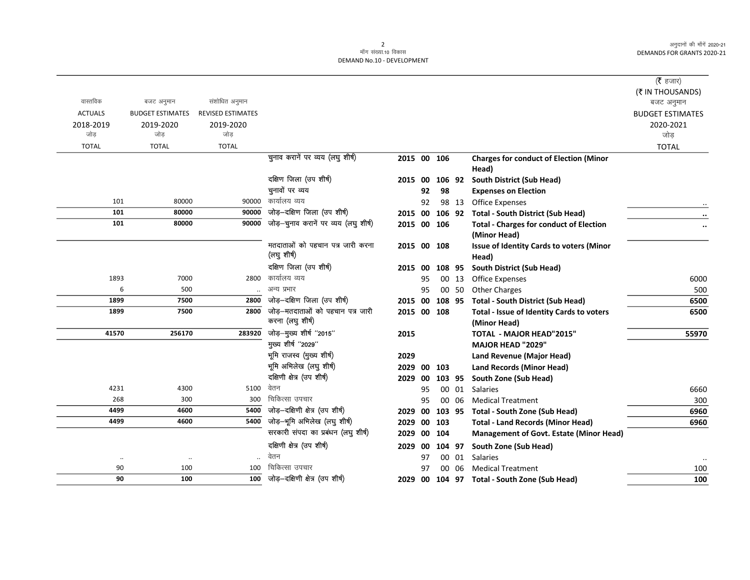|                |                         |                          |                                                      |             |     |        |       |                                                                  | ( $\bar{\tau}$ हजार)<br>(₹ IN THOUSANDS) |
|----------------|-------------------------|--------------------------|------------------------------------------------------|-------------|-----|--------|-------|------------------------------------------------------------------|------------------------------------------|
| वास्तविक       | बजट अनुमान              | संशोधित अनुमान           |                                                      |             |     |        |       |                                                                  | बजट अनुमान                               |
| <b>ACTUALS</b> | <b>BUDGET ESTIMATES</b> | <b>REVISED ESTIMATES</b> |                                                      |             |     |        |       |                                                                  | <b>BUDGET ESTIMATES</b>                  |
| 2018-2019      | 2019-2020               | 2019-2020                |                                                      |             |     |        |       |                                                                  | 2020-2021                                |
| जोड            | जोड                     | जोड                      |                                                      |             |     |        |       |                                                                  | जोड                                      |
| <b>TOTAL</b>   | <b>TOTAL</b>            | <b>TOTAL</b>             |                                                      |             |     |        |       |                                                                  | <b>TOTAL</b>                             |
|                |                         |                          | चुनाव करानें पर व्यय (लघु शीर्ष)                     | 2015 00 106 |     |        |       | <b>Charges for conduct of Election (Minor</b><br>Head)           |                                          |
|                |                         |                          | दक्षिण जिला (उप शीर्ष)                               | 2015 00     |     | 106 92 |       | South District (Sub Head)                                        |                                          |
|                |                         |                          | चुनावों पर व्यय                                      |             | 92  | 98     |       | <b>Expenses on Election</b>                                      |                                          |
| 101            | 80000                   | 90000                    | कार्यालय व्यय                                        |             | 92  |        | 98 13 | <b>Office Expenses</b>                                           |                                          |
| 101            | 80000                   | 90000                    | जोड़-दक्षिण जिला (उप शीर्ष)                          | 2015 00     |     | 106 92 |       | <b>Total - South District (Sub Head)</b>                         | $\cdots$                                 |
| 101            | 80000                   | 90000                    | जोड़-चुनाव करानें पर व्यय (लघु शीर्ष)                | 2015 00     |     | 106    |       | <b>Total - Charges for conduct of Election</b>                   | $\ddotsc$                                |
|                |                         |                          |                                                      |             |     |        |       | (Minor Head)                                                     |                                          |
|                |                         |                          | मतदाताओं को पहचान पत्र जारी करना<br>(लघु शीर्ष)      | 2015 00 108 |     |        |       | <b>Issue of Identity Cards to voters (Minor</b><br>Head)         |                                          |
|                |                         |                          | दक्षिण जिला (उप शीर्ष)                               | 2015        | -00 | 108 95 |       | South District (Sub Head)                                        |                                          |
| 1893           | 7000                    | 2800                     | कार्यालय व्यय                                        |             | 95  |        | 00 13 | <b>Office Expenses</b>                                           | 6000                                     |
| 6              | 500                     |                          | अन्य प्रभार                                          |             | 95  |        | 00 50 | <b>Other Charges</b>                                             | 500                                      |
| 1899           | 7500                    | 2800                     | जोड़-दक्षिण जिला (उप शीर्ष)                          | 2015 00     |     | 108 95 |       | <b>Total - South District (Sub Head)</b>                         | 6500                                     |
| 1899           | 7500                    | 2800                     | जोड़–मतदाताओं को पहचान पत्र जारी<br>करना (लघु शीर्ष) | 2015 00 108 |     |        |       | <b>Total - Issue of Identity Cards to voters</b><br>(Minor Head) | 6500                                     |
| 41570          | 256170                  | 283920                   | जोड़-मुख्य शीर्ष "2015"                              | 2015        |     |        |       | <b>TOTAL - MAJOR HEAD"2015"</b>                                  | 55970                                    |
|                |                         |                          | मुख्य शीर्ष "2029"                                   |             |     |        |       | MAJOR HEAD "2029"                                                |                                          |
|                |                         |                          | भूमि राजस्व (मुख्य शीर्ष)                            | 2029        |     |        |       | <b>Land Revenue (Major Head)</b>                                 |                                          |
|                |                         |                          | भूमि अभिलेख (लघु शीर्ष)                              | 2029        | 00  | 103    |       | <b>Land Records (Minor Head)</b>                                 |                                          |
|                |                         |                          | दक्षिणी क्षेत्र (उप शीर्ष)                           | 2029        | 00  | 103 95 |       | South Zone (Sub Head)                                            |                                          |
| 4231           | 4300                    | 5100                     | वेतन                                                 |             | 95  |        | 00 01 | <b>Salaries</b>                                                  | 6660                                     |
| 268            | 300                     | 300                      | चिकित्सा उपचार                                       |             | 95  |        | 00 06 | <b>Medical Treatment</b>                                         | 300                                      |
| 4499           | 4600                    | 5400                     | जोड़-दक्षिणी क्षेत्र (उप शीर्ष)                      | 2029        | 00  | 103 95 |       | <b>Total - South Zone (Sub Head)</b>                             | 6960                                     |
| 4499           | 4600                    | 5400                     | जोड़-भूमि अभिलेख (लघु शीर्ष)                         | 2029        | 00  | 103    |       | <b>Total - Land Records (Minor Head)</b>                         | 6960                                     |
|                |                         |                          | सरकारी संपदा का प्रबंधन (लघु शीर्ष)                  | 2029        | 00  | 104    |       | <b>Management of Govt. Estate (Minor Head)</b>                   |                                          |
|                |                         |                          | दक्षिणी क्षेत्र (उप शीर्ष)                           | 2029        | 00  | 104 97 |       | South Zone (Sub Head)                                            |                                          |
| $\cdot\cdot$   | $\cdot\cdot$            |                          | वेतन                                                 |             | 97  |        | 00 01 | <b>Salaries</b>                                                  |                                          |
| 90             | 100                     | 100                      | चिकित्सा उपचार                                       |             | 97  | 00     | 06    | <b>Medical Treatment</b>                                         | 100                                      |
| 90             | 100                     | 100                      | जोड़-दक्षिणी क्षेत्र (उप शीर्ष)                      | 2029 00     |     |        |       | 104 97 Total - South Zone (Sub Head)                             | 100                                      |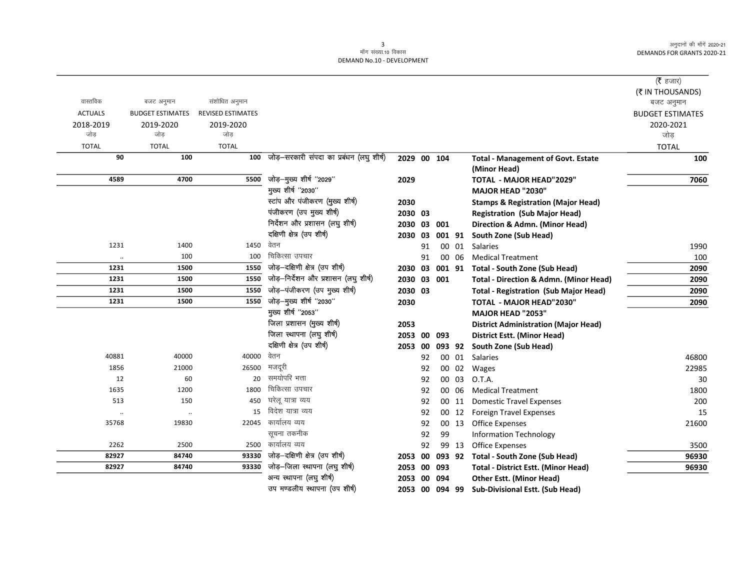| वास्तविक       | बजट अनुमान              | संशोधित अनुमान           |                                          |                |    |     |       |                                                   | ( $\bar{\tau}$ हजार)<br>(₹ IN THOUSANDS)<br>बजट अनुमान |
|----------------|-------------------------|--------------------------|------------------------------------------|----------------|----|-----|-------|---------------------------------------------------|--------------------------------------------------------|
| <b>ACTUALS</b> | <b>BUDGET ESTIMATES</b> | <b>REVISED ESTIMATES</b> |                                          |                |    |     |       |                                                   | <b>BUDGET ESTIMATES</b>                                |
| 2018-2019      | 2019-2020               | 2019-2020                |                                          |                |    |     |       |                                                   | 2020-2021                                              |
| जोड            | जोड                     | जोड                      |                                          |                |    |     |       |                                                   | जोड़                                                   |
| <b>TOTAL</b>   | <b>TOTAL</b>            | <b>TOTAL</b>             |                                          |                |    |     |       |                                                   | <b>TOTAL</b>                                           |
| 90             | 100                     | 100                      | जोड़—सरकारी संपदा का प्रबंधन (लघु शीर्ष) | 2029 00 104    |    |     |       | <b>Total - Management of Govt. Estate</b>         | 100                                                    |
|                |                         |                          |                                          |                |    |     |       | (Minor Head)                                      |                                                        |
| 4589           | 4700                    | 5500                     | जोड़-मुख्य शीर्ष "2029"                  | 2029           |    |     |       | <b>TOTAL - MAJOR HEAD"2029"</b>                   | 7060                                                   |
|                |                         |                          | मुख्य शीर्ष "2030"                       |                |    |     |       | MAJOR HEAD "2030"                                 |                                                        |
|                |                         |                          | स्टांप और पंजीकरण (मुख्य शीर्ष)          | 2030           |    |     |       | <b>Stamps &amp; Registration (Major Head)</b>     |                                                        |
|                |                         |                          | पंजीकरण (उप मुख्य शीर्ष)                 | 2030 03        |    |     |       | <b>Registration (Sub Major Head)</b>              |                                                        |
|                |                         |                          | निर्देशन और प्रशासन (लघु शीर्ष)          | 2030 03 001    |    |     |       | Direction & Admn. (Minor Head)                    |                                                        |
|                |                         |                          | दक्षिणी क्षेत्र (उप शीर्ष)               | 2030 03        |    |     |       | 001 91 South Zone (Sub Head)                      |                                                        |
| 1231           | 1400                    | 1450                     | वेतन                                     |                | 91 |     | 00 01 | <b>Salaries</b>                                   | 1990                                                   |
| $\ddotsc$      | 100                     | 100                      | चिकित्सा उपचार                           |                | 91 |     | 00 06 | <b>Medical Treatment</b>                          | 100                                                    |
| 1231           | 1500                    | 1550                     | जोड़-दक्षिणी क्षेत्र (उप शीर्ष)          |                |    |     |       | 2030 03 001 91 Total - South Zone (Sub Head)      | 2090                                                   |
| 1231           | 1500                    | 1550                     | जोड़-निर्देशन और प्रशासन (लघु शीर्ष)     | 2030 03 001    |    |     |       | <b>Total - Direction &amp; Admn. (Minor Head)</b> | 2090                                                   |
| 1231           | 1500                    | 1550                     | जोड़-पंजीकरण (उप मुख्य शीर्ष)            | 2030 03        |    |     |       | <b>Total - Registration (Sub Major Head)</b>      | 2090                                                   |
| 1231           | 1500                    | 1550                     | जोड़-मुख्य शीर्ष "2030"                  | 2030           |    |     |       | <b>TOTAL - MAJOR HEAD"2030"</b>                   | 2090                                                   |
|                |                         |                          | मुख्य शीर्ष "2053"                       |                |    |     |       | MAJOR HEAD "2053"                                 |                                                        |
|                |                         |                          | जिला प्रशासन (मुख्य शीर्ष)               | 2053           |    |     |       | <b>District Administration (Major Head)</b>       |                                                        |
|                |                         |                          | जिला स्थापना (लघु शीर्ष)                 | 2053 00 093    |    |     |       | <b>District Estt. (Minor Head)</b>                |                                                        |
|                |                         |                          | दक्षिणी क्षेत्र (उप शीर्ष)               | 2053 00        |    |     |       | 093 92 South Zone (Sub Head)                      |                                                        |
| 40881          | 40000                   | 40000                    | वेतन                                     |                | 92 |     | 00 01 | Salaries                                          | 46800                                                  |
| 1856           | 21000                   | 26500                    | मजदूरी                                   |                | 92 |     | 00 02 | Wages                                             | 22985                                                  |
| 12             | 60                      | 20                       | समयोपरि भत्ता                            |                | 92 |     | 00 03 | O.T.A.                                            | 30                                                     |
| 1635           | 1200                    | 1800                     | चिकित्सा उपचार                           |                | 92 |     | 00 06 | <b>Medical Treatment</b>                          | 1800                                                   |
| 513            | 150                     | 450                      | घरेलू यात्रा व्यय                        |                | 92 |     | 00 11 | <b>Domestic Travel Expenses</b>                   | 200                                                    |
| $\cdot\cdot$   | $\ddot{\phantom{0}}$    | 15                       | विदेश यात्रा व्यय                        |                | 92 |     | 00 12 | <b>Foreign Travel Expenses</b>                    | 15                                                     |
| 35768          | 19830                   | 22045                    | कार्यालय व्यय                            |                | 92 |     | 00 13 | <b>Office Expenses</b>                            | 21600                                                  |
|                |                         |                          | सूचना तकनीक                              |                | 92 | 99  |       | <b>Information Technology</b>                     |                                                        |
| 2262           | 2500                    | 2500                     | कार्यालय व्यय                            |                | 92 |     | 99 13 | <b>Office Expenses</b>                            | 3500                                                   |
| 82927          | 84740                   | 93330                    | जोड़-दक्षिणी क्षेत्र (उप शीर्ष)          | 2053 00        |    |     |       | 093 92 Total - South Zone (Sub Head)              | 96930                                                  |
| 82927          | 84740                   |                          | 93330 जोड़-जिला स्थापना (लघु शीर्ष)      | 2053 00 093    |    |     |       | <b>Total - District Estt. (Minor Head)</b>        | 96930                                                  |
|                |                         |                          | अन्य स्थापना (लघु शीर्ष)                 | 2053 00        |    | 094 |       | <b>Other Estt. (Minor Head)</b>                   |                                                        |
|                |                         |                          | उप मण्डलीय स्थापना (उप शीर्ष)            | 2053 00 094 99 |    |     |       | <b>Sub-Divisional Estt. (Sub Head)</b>            |                                                        |